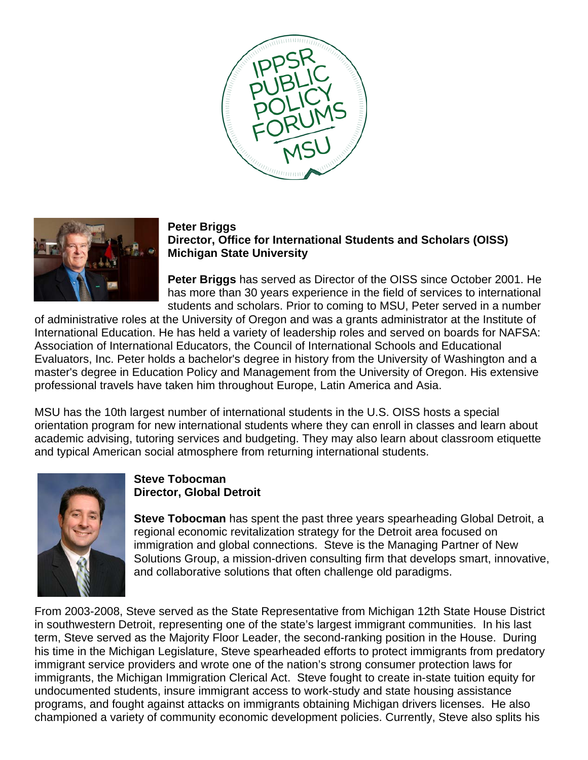



## **Peter Briggs**

## **Director, Office for International Students and Scholars (OISS) Michigan State University**

**Peter Briggs** has served as Director of the OISS since October 2001. He has more than 30 years experience in the field of services to international students and scholars. Prior to coming to MSU, Peter served in a number

of administrative roles at the University of Oregon and was a grants administrator at the Institute of International Education. He has held a variety of leadership roles and served on boards for NAFSA: Association of International Educators, the Council of International Schools and Educational Evaluators, Inc. Peter holds a bachelor's degree in history from the University of Washington and a master's degree in Education Policy and Management from the University of Oregon. His extensive professional travels have taken him throughout Europe, Latin America and Asia.

MSU has the 10th largest number of international students in the U.S. OISS hosts a special orientation program for new international students where they can enroll in classes and learn about academic advising, tutoring services and budgeting. They may also learn about classroom etiquette and typical American social atmosphere from returning international students.



## **Steve Tobocman Director, Global Detroit**

**Steve Tobocman** has spent the past three years spearheading Global Detroit, a regional economic revitalization strategy for the Detroit area focused on immigration and global connections. Steve is the Managing Partner of New Solutions Group, a mission-driven consulting firm that develops smart, innovative, and collaborative solutions that often challenge old paradigms.

From 2003-2008, Steve served as the State Representative from Michigan 12th State House District in southwestern Detroit, representing one of the state's largest immigrant communities. In his last term, Steve served as the Majority Floor Leader, the second-ranking position in the House. During his time in the Michigan Legislature, Steve spearheaded efforts to protect immigrants from predatory immigrant service providers and wrote one of the nation's strong consumer protection laws for immigrants, the Michigan Immigration Clerical Act. Steve fought to create in-state tuition equity for undocumented students, insure immigrant access to work-study and state housing assistance programs, and fought against attacks on immigrants obtaining Michigan drivers licenses. He also championed a variety of community economic development policies. Currently, Steve also splits his